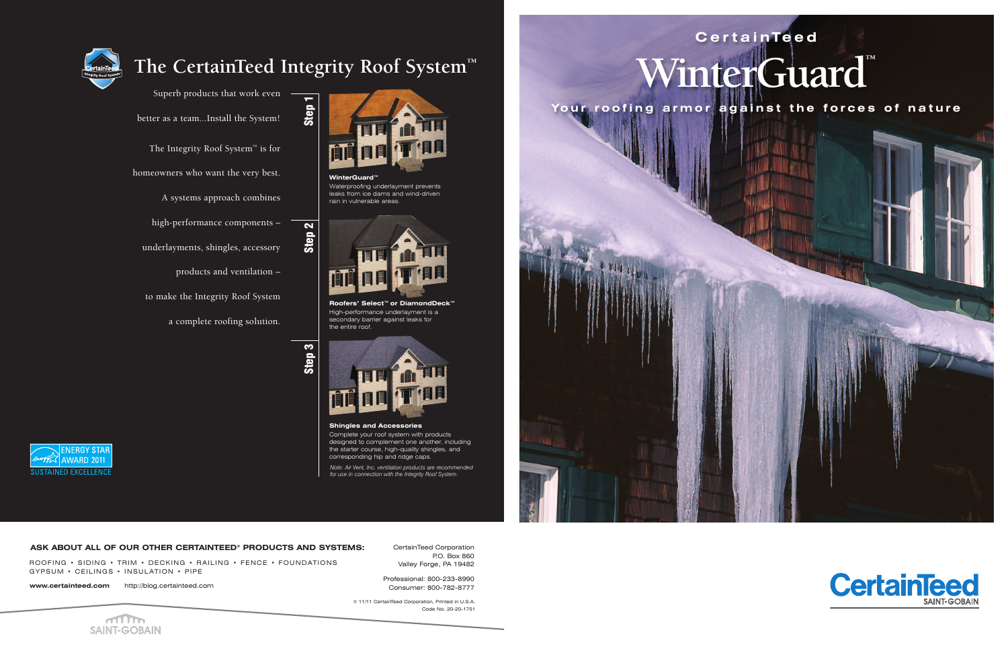## WinterGuard **Cer ta inTeed**

Your roofing armor against the forces of nature



Superb products that work even better as a team...Install the System! The Integrity Roof System™ is for

homeowners who want the very best.

A systems approach combines

**WinterGuard™** Waterproofing underlayment prevents leaks from ice dams and wind-driven rain in vulnerable areas.

high-performance components–

underlayments, shingles, accessory

products and ventilation–

to make the Integrity Roof System

a complete roofing solution.



### **The CertainTeed Integrity Roof System™**

**Roofers' Select™ or DiamondDeck™** High-performance underlayment is a secondary barrier against leaks for the entire roof.

**Shingles and Accessories**

Complete your roof system with products designed to complement one another, including the starter course, high-quality shingles, and corresponding hip and ridge caps.







*Note: Air Vent, Inc. ventilation products are recommended for use in connection with the Integrity Roof System.*



CertainTeed Corporation P.O. Box 860 Valley Forge, PA 19482

Professional: 800-233-8990 Consumer: 800-782-8777

#### **ASK ABOUT ALL OF OUR OTHER CERTAINTEED® PRODUCTS AND SYSTEMS:**

ROOFING • SIDING • TRIM • DECKING • RAILING • FENCE • FOUNDATIONS GYPSUM • CEILINGS • INSULATION • PIPE

**www.certainteed.com** http://blog.certainteed.com

© 11/11 CertainTeed Corporation, Printed in U.S.A. Code No. 20-20-1751